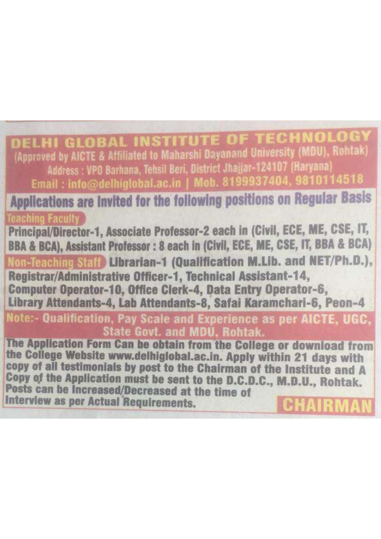ELHI GLOBAL INSTITUTE OF TECHNOLOGY (Approved by AICTE & Affiliated to Maharshi Dayanand University (MDU), Rohtak) Address: VPO Barhana. Tehsil Beri. District Jhajjar-124107 (Haryana Email: info@delhiglobal.ac.in | Mob. 8199937404 Applications are Invited for the following positions on Regular Basis leaching Faculty Principal/Director-1, Associate Professor-2 each in (Civil, ECE, ME, CSE, IT, BBA & BCA), Assistant Professor : 8 each in (Civil, ECE, ME, CSE, IT, BBA & BCA) Non-Teaching Staff Librarian-1 (Qualification M.Lib. and NET/Ph.D.), Registrar/Administrative Officer-1, Technical Assistant-14, Computer Operator-10, Office Clerk-4, Data Entry Operator-6, Library Attendants-4, Lab Attendants-8, Safai Karamchari-6, Peon-4 Note:- Qualification, Pay Scale and Experience as per AICTE, UGC, **State Govt. and MDU. Rohtak.** The Application Form Can be obtain from the College or download from the College Website www.delhiglobal.ac.in. Apply within 21 days with copy of all testimonials by post to the Chairman of the Institute and A Copy of the Application must be sent to the D.C.D.C., M.D.U., Rohtak. Posts can be Increased/Decreased at the time of Interview as per Actual Requirements.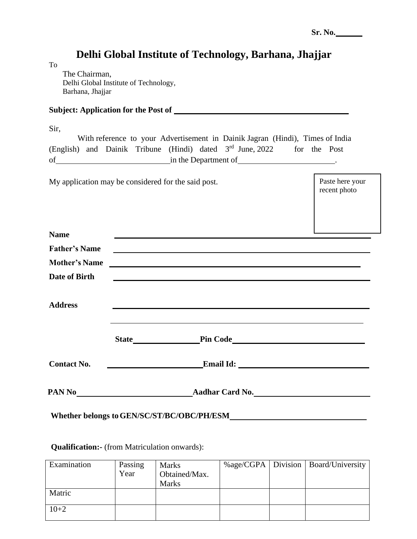## **Delhi Global Institute of Technology, Barhana, Jhajjar**

The Chairman, Delhi Global Institute of Technology, Barhana, Jhajjar

|  | <b>Subject: Application for the Post of</b> |  |  |
|--|---------------------------------------------|--|--|
|--|---------------------------------------------|--|--|

| ×               | ۰. | i |    |
|-----------------|----|---|----|
| ٦<br>۰.<br>1. 1 |    |   | ۰. |

To

|    |  |                      | With reference to your Advertisement in Dainik Jagran (Hindi), Times of India |              |  |
|----|--|----------------------|-------------------------------------------------------------------------------|--------------|--|
|    |  |                      | (English) and Dainik Tribune (Hindi) dated 3 <sup>rd</sup> June, 2022         | for the Post |  |
| оf |  | in the Department of |                                                                               |              |  |

My application may be considered for the said post.

Paste here your recent photo

| <b>Name</b>          |                                                                                                                        |  |
|----------------------|------------------------------------------------------------------------------------------------------------------------|--|
| <b>Father's Name</b> | <u> 1989 - Johann Barn, mars ann an t-Amhain ann an t-Amhain ann an t-Amhain ann an t-Amhain an t-Amhain ann an t-</u> |  |
| <b>Mother's Name</b> | <u> 1989 - Johann Barbara, martxa alemaniar argamento de la contrada de la contrada de la contrada de la contrad</u>   |  |
| Date of Birth        | <u> 1989 - Johann Harry Harry Harry Harry Harry Harry Harry Harry Harry Harry Harry Harry Harry Harry Harry Harry</u>  |  |
| <b>Address</b>       | ,我们也不会有什么。""我们的人,我们也不会有什么?""我们的人,我们也不会有什么?""我们的人,我们也不会有什么?""我们的人,我们也不会有什么?""我们的人                                       |  |
|                      |                                                                                                                        |  |
| <b>Contact No.</b>   | <b>Email Id:</b> Email Id:                                                                                             |  |
|                      |                                                                                                                        |  |
|                      | Whether belongs to GEN/SC/ST/BC/OBC/PH/ESM                                                                             |  |

## **Qualification:-** (from Matriculation onwards):

| Examination | Passing<br>Year | <b>Marks</b><br>Obtained/Max.<br><b>Marks</b> |  | %age/CGPA   Division   Board/University |
|-------------|-----------------|-----------------------------------------------|--|-----------------------------------------|
| Matric      |                 |                                               |  |                                         |
| $10+2$      |                 |                                               |  |                                         |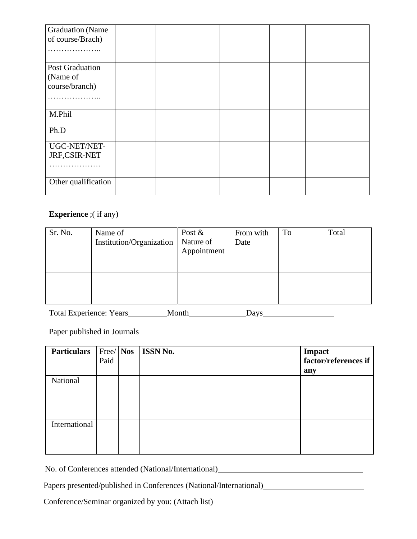| <b>Graduation</b> (Name |  |  |  |
|-------------------------|--|--|--|
| of course/Brach)        |  |  |  |
| .                       |  |  |  |
| <b>Post Graduation</b>  |  |  |  |
| (Name of                |  |  |  |
| course/branch)          |  |  |  |
|                         |  |  |  |
| M.Phil                  |  |  |  |
| Ph.D                    |  |  |  |
| UGC-NET/NET-            |  |  |  |
| JRF,CSIR-NET            |  |  |  |
| .                       |  |  |  |
| Other qualification     |  |  |  |

## **Experience** ;( if any)

| Sr. No. | Name of                  | Post $\&$   | From with | To | Total |
|---------|--------------------------|-------------|-----------|----|-------|
|         | Institution/Organization | Nature of   | Date      |    |       |
|         |                          | Appointment |           |    |       |
|         |                          |             |           |    |       |
|         |                          |             |           |    |       |
|         |                          |             |           |    |       |
|         |                          |             |           |    |       |
|         |                          |             |           |    |       |
|         |                          |             |           |    |       |

Total Experience: Years Month Days

Paper published in Journals

| <b>Particulars</b> | Free/Nos<br>Paid | <b>ISSN No.</b> | Impact<br>factor/references if<br>any |
|--------------------|------------------|-----------------|---------------------------------------|
| National           |                  |                 |                                       |
| International      |                  |                 |                                       |

No. of Conferences attended (National/International)

Papers presented/published in Conferences (National/International)<br>
<u>Papers</u> presented/published in Conferences (National/International)

Conference/Seminar organized by you: (Attach list)